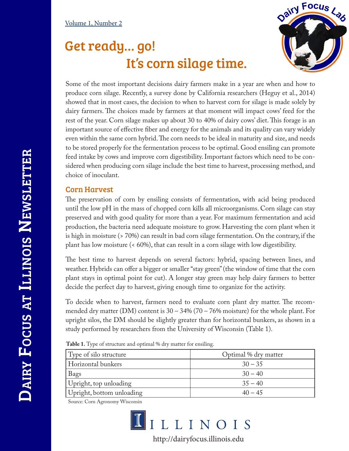## Get ready… go! It's corn silage time.



Some of the most important decisions dairy farmers make in a year are when and how to produce corn silage. Recently, a survey done by California researchers (Heguy et al., 2014) showed that in most cases, the decision to when to harvest corn for silage is made solely by dairy farmers. The choices made by farmers at that moment will impact cows' feed for the rest of the year. Corn silage makes up about 30 to 40% of dairy cows' diet. This forage is an important source of effective fiber and energy for the animals and its quality can vary widely even within the same corn hybrid. The corn needs to be ideal in maturity and size, and needs to be stored properly for the fermentation process to be optimal. Good ensiling can promote feed intake by cows and improve corn digestibility. Important factors which need to be considered when producing corn silage include the best time to harvest, processing method, and choice of inoculant.

## Corn Harvest

The preservation of corn by ensiling consists of fermentation, with acid being produced until the low pH in the mass of chopped corn kills all microorganisms. Corn silage can stay preserved and with good quality for more than a year. For maximum fermentation and acid production, the bacteria need adequate moisture to grow. Harvesting the corn plant when it is high in moisture (> 70%) can result in bad corn silage fermentation. On the contrary, if the plant has low moisture (< 60%), that can result in a corn silage with low digestibility.

The best time to harvest depends on several factors: hybrid, spacing between lines, and weather. Hybrids can offer a bigger or smaller "stay green" (the window of time that the corn plant stays in optimal point for cut). A longer stay green may help dairy farmers to better decide the perfect day to harvest, giving enough time to organize for the activity.

To decide when to harvest, farmers need to evaluate corn plant dry matter. The recommended dry matter (DM) content is  $30 - 34\%$  (70 – 76% moisture) for the whole plant. For upright silos, the DM should be slightly greater than for horizontal bunkers, as shown in a study performed by researchers from the University of Wisconsin (Table 1).

**Table 1.** Type of structure and optimal % dry matter for ensiling.

| Type of silo structure    | Optimal % dry matter |  |  |
|---------------------------|----------------------|--|--|
| Horizontal bunkers        | $30 - 35$            |  |  |
| Bags                      | $30 - 40$            |  |  |
| Upright, top unloading    | $35 - 40$            |  |  |
| Upright, bottom unloading | $40 - 45$            |  |  |

Source: Corn Agronomy Wisconsin



http://dairyfocus.illinois.edu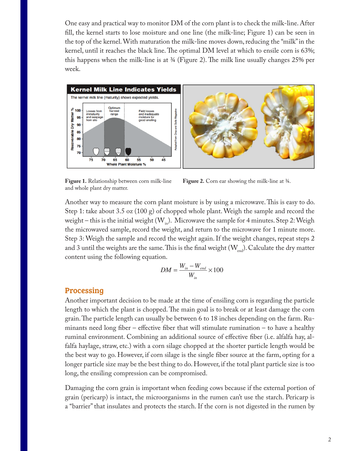One easy and practical way to monitor DM of the corn plant is to check the milk-line. After fill, the kernel starts to lose moisture and one line (the milk-line; Figure 1) can be seen in the top of the kernel. With maturation the milk-line moves down, reducing the "milk" in the kernel, until it reaches the black line. The optimal DM level at which to ensile corn is 63%; this happens when the milk-line is at ¾ (Figure 2). The milk line usually changes 25% per week.



and whole plant dry matter.

**Figure 1.** Relationship between corn milk-line **Figure 2.** Corn ear showing the milk-line at ¾.

Another way to measure the corn plant moisture is by using a microwave. This is easy to do. Step 1: take about 3.5 oz (100 g) of chopped whole plant. Weigh the sample and record the weight – this is the initial weight  $(W_{i_n})$ . Microwave the sample for 4 minutes. Step 2: Weigh the microwaved sample, record the weight, and return to the microwave for 1 minute more. Step 3: Weigh the sample and record the weight again. If the weight changes, repeat steps 2 and 3 until the weights are the same. This is the final weight  $(W_{end})$ . Calculate the dry matter content using the following equation.

$$
DM = \frac{W_{in} - W_{end}}{W_{in}} \times 100
$$

## Processing

Another important decision to be made at the time of ensiling corn is regarding the particle length to which the plant is chopped. The main goal is to break or at least damage the corn grain. The particle length can usually be between 6 to 18 inches depending on the farm. Ruminants need long fiber – effective fiber that will stimulate rumination – to have a healthy ruminal environment. Combining an additional source of effective fiber (i.e. alfalfa hay, alfalfa haylage, straw, etc.) with a corn silage chopped at the shorter particle length would be the best way to go. However, if corn silage is the single fiber source at the farm, opting for a longer particle size may be the best thing to do. However, if the total plant particle size is too long, the ensiling compression can be compromised.

Damaging the corn grain is important when feeding cows because if the external portion of grain (pericarp) is intact, the microorganisms in the rumen can't use the starch. Pericarp is a "barrier" that insulates and protects the starch. If the corn is not digested in the rumen by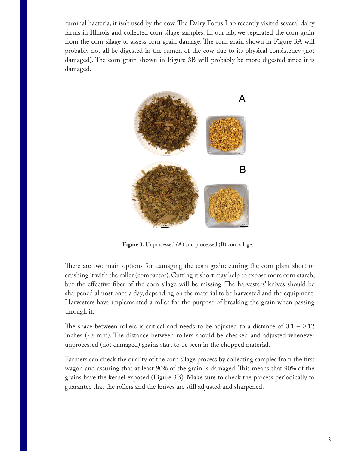ruminal bacteria, it isn't used by the cow. The Dairy Focus Lab recently visited several dairy farms in Illinois and collected corn silage samples. In our lab, we separated the corn grain from the corn silage to assess corn grain damage. The corn grain shown in Figure 3A will probably not all be digested in the rumen of the cow due to its physical consistency (not damaged). The corn grain shown in Figure 3B will probably be more digested since it is damaged.



**Figure 3.** Unprocessed (A) and processed (B) corn silage.

There are two main options for damaging the corn grain: cutting the corn plant short or crushing it with the roller (compactor). Cutting it short may help to expose more corn starch, but the effective fiber of the corn silage will be missing. The harvesters' knives should be sharpened almost once a day, depending on the material to be harvested and the equipment. Harvesters have implemented a roller for the purpose of breaking the grain when passing through it.

The space between rollers is critical and needs to be adjusted to a distance of  $0.1 - 0.12$ inches (~3 mm). The distance between rollers should be checked and adjusted whenever unprocessed (not damaged) grains start to be seen in the chopped material.

Farmers can check the quality of the corn silage process by collecting samples from the first wagon and assuring that at least 90% of the grain is damaged. This means that 90% of the grains have the kernel exposed (Figure 3B). Make sure to check the process periodically to guarantee that the rollers and the knives are still adjusted and sharpened.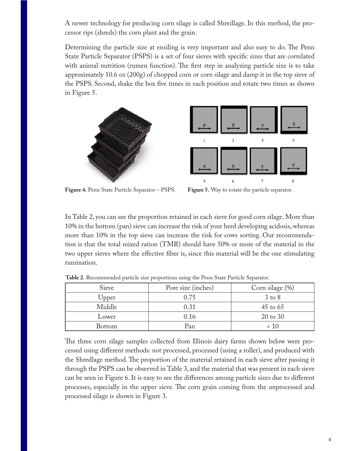A newer technology for producing corn silage is called Shredlage. In this method, the processor rips (shreds) the corn plant and the grain.

Determining the particle size at ensiling is very important and also easy to do. The Penn State Particle Separator (PSPS) is a set of four sieves with specific sizes that are correlated with animal nutrition (rumen function). The first step in analyzing particle size is to take approximately 10.6 oz (200g) of chopped corn or corn silage and damp it in the top sieve of the PSPS. Second, shake the box five times in each position and rotate two times as shown in Figure 5.





**Figure 4.** Penn State Particle Separator – PSPS. **Figure 5.** Way to rotate the particle separator.

In Table 2, you can see the proportion retained in each sieve for good corn silage. More than 10% in the bottom (pan) sieve can increase the risk of your herd developing acidosis, whereas more than 10% in the top sieve can increase the risk for cows sorting. Our recommendation is that the total mixed ration (TMR) should have 50% or more of the material in the two upper sieves where the effective fiber is, since this material will be the one stimulating rumination.

| Sieve         | Pore size (inches) | Corn silage (%) |
|---------------|--------------------|-----------------|
| Upper         | 0.75               | $3$ to $8$      |
| Middle        | 0.31               | $45$ to $65$    |
| Lower         | 0.16               | 20 to 30        |
| <b>Bottom</b> | Pan                | 10 ›            |

**Table 2.** Recommended particle size proportions using the Penn State Particle Separator.

The three corn silage samples collected from Illinois dairy farms shown below were processed using different methods: not processed, processed (using a roller), and produced with the Shredlage method. The proportion of the material retained in each sieve after passing it through the PSPS can be observed in Table 3, and the material that was present in each sieve can be seen in Figure 6. It is easy to see the differences among particle sizes due to different processes, especially in the upper sieve. The corn grain coming from the unprocessed and processed silage is shown in Figure 3.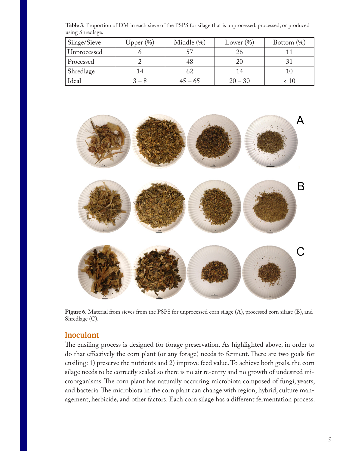| Silage/Sieve | Upper $(\%)$ | Middle (%) | Lower $(\% )$ | Bottom $(\%)$ |
|--------------|--------------|------------|---------------|---------------|
| Unprocessed  |              |            |               |               |
| Processed    |              |            | 2C            |               |
| Shredlage    | 14           |            | 14            |               |
| Ideal        | $-8$         | 45 – 65    | $20 - 30$     | 10            |

**Table 3.** Proportion of DM in each sieve of the PSPS for silage that is unprocessed, processed, or produced using Shredlage.



**Figure 6.** Material from sieves from the PSPS for unprocessed corn silage (A), processed corn silage (B), and Shredlage (C).

## Inoculant

The ensiling process is designed for forage preservation. As highlighted above, in order to do that effectively the corn plant (or any forage) needs to ferment. There are two goals for ensiling: 1) preserve the nutrients and 2) improve feed value. To achieve both goals, the corn silage needs to be correctly sealed so there is no air re-entry and no growth of undesired microorganisms. The corn plant has naturally occurring microbiota composed of fungi, yeasts, and bacteria. The microbiota in the corn plant can change with region, hybrid, culture management, herbicide, and other factors. Each corn silage has a different fermentation process.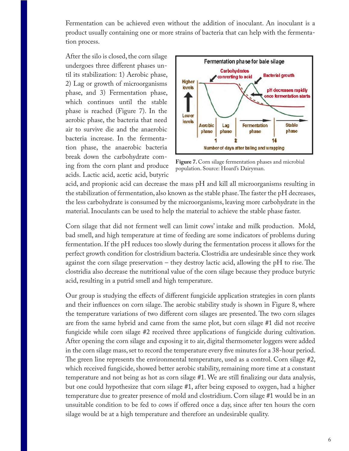Fermentation can be achieved even without the addition of inoculant. An inoculant is a product usually containing one or more strains of bacteria that can help with the fermentation process.

After the silo is closed, the corn silage undergoes three different phases until its stabilization: 1) Aerobic phase, 2) Lag or growth of microorganisms phase, and 3) Fermentation phase, which continues until the stable phase is reached (Figure 7). In the aerobic phase, the bacteria that need air to survive die and the anaerobic bacteria increase. In the fermentation phase, the anaerobic bacteria break down the carbohydrate coming from the corn plant and produce acids. Lactic acid, acetic acid, butyric



**Figure 7.** Corn silage fermentation phases and microbial population. Source: Hoard's Dairyman.

acid, and propionic acid can decrease the mass pH and kill all microorganisms resulting in the stabilization of fermentation, also known as the stable phase. The faster the pH decreases, the less carbohydrate is consumed by the microorganisms, leaving more carbohydrate in the material. Inoculants can be used to help the material to achieve the stable phase faster.

Corn silage that did not ferment well can limit cows' intake and milk production. Mold, bad smell, and high temperature at time of feeding are some indicators of problems during fermentation. If the pH reduces too slowly during the fermentation process it allows for the perfect growth condition for clostridium bacteria. Clostridia are undesirable since they work against the corn silage preservation – they destroy lactic acid, allowing the pH to rise. The clostridia also decrease the nutritional value of the corn silage because they produce butyric acid, resulting in a putrid smell and high temperature.

Our group is studying the effects of different fungicide application strategies in corn plants and their influences on corn silage. The aerobic stability study is shown in Figure 8, where the temperature variations of two different corn silages are presented. The two corn silages are from the same hybrid and came from the same plot, but corn silage #1 did not receive fungicide while corn silage #2 received three applications of fungicide during cultivation. After opening the corn silage and exposing it to air, digital thermometer loggers were added in the corn silage mass, set to record the temperature every five minutes for a 38-hour period. The green line represents the environmental temperature, used as a control. Corn silage #2, which received fungicide, showed better aerobic stability, remaining more time at a constant temperature and not being as hot as corn silage #1. We are still finalizing our data analysis, but one could hypothesize that corn silage #1, after being exposed to oxygen, had a higher temperature due to greater presence of mold and clostridium. Corn silage #1 would be in an unsuitable condition to be fed to cows if offered once a day, since after ten hours the corn silage would be at a high temperature and therefore an undesirable quality.